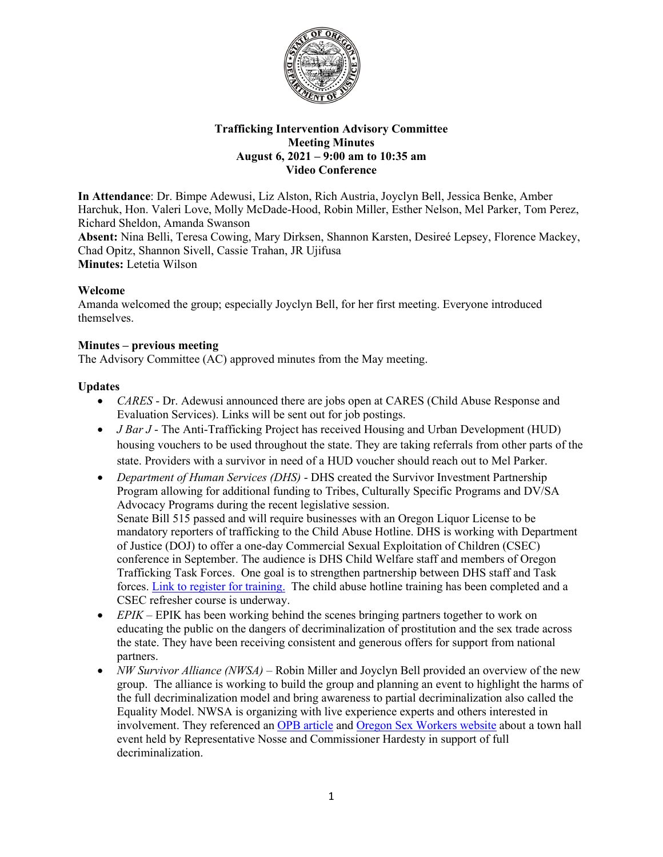

# **Trafficking Intervention Advisory Committee Meeting Minutes August 6, 2021 – 9:00 am to 10:35 am Video Conference**

**In Attendance**: Dr. Bimpe Adewusi, Liz Alston, Rich Austria, Joyclyn Bell, Jessica Benke, Amber Harchuk, Hon. Valeri Love, Molly McDade-Hood, Robin Miller, Esther Nelson, Mel Parker, Tom Perez, Richard Sheldon, Amanda Swanson

**Absent:** Nina Belli, Teresa Cowing, Mary Dirksen, Shannon Karsten, Desireé Lepsey, Florence Mackey, Chad Opitz, Shannon Sivell, Cassie Trahan, JR Ujifusa **Minutes:** Letetia Wilson

# **Welcome**

Amanda welcomed the group; especially Joyclyn Bell, for her first meeting. Everyone introduced themselves.

# **Minutes – previous meeting**

The Advisory Committee (AC) approved minutes from the May meeting.

# **Updates**

- *CARES* Dr. Adewusi announced there are jobs open at CARES (Child Abuse Response and Evaluation Services). Links will be sent out for job postings.
- *J Bar J* The Anti-Trafficking Project has received Housing and Urban Development (HUD) housing vouchers to be used throughout the state. They are taking referrals from other parts of the state. Providers with a survivor in need of a HUD voucher should reach out to Mel Parker.
- *Department of Human Services (DHS)* DHS created the Survivor Investment Partnership Program allowing for additional funding to Tribes, Culturally Specific Programs and DV/SA Advocacy Programs during the recent legislative session. Senate Bill 515 passed and will require businesses with an Oregon Liquor License to be mandatory reporters of trafficking to the Child Abuse Hotline. DHS is working with Department of Justice (DOJ) to offer a one-day Commercial Sexual Exploitation of Children (CSEC) conference in September. The audience is DHS Child Welfare staff and members of Oregon Trafficking Task Forces. One goal is to strengthen partnership between DHS staff and Task forces. [Link to register for training.](https://www.surveymonkey.com/r/BZPG3P5) The child abuse hotline training has been completed and a CSEC refresher course is underway.
- *EPIK* EPIK has been working behind the scenes bringing partners together to work on educating the public on the dangers of decriminalization of prostitution and the sex trade across the state. They have been receiving consistent and generous offers for support from national partners.
- *NW Survivor Alliance (NWSA)*  Robin Miller and Joyclyn Bell provided an overview of the new group. The alliance is working to build the group and planning an event to highlight the harms of the full decriminalization model and bring awareness to partial decriminalization also called the Equality Model. NWSA is organizing with live experience experts and others interested in involvement. They referenced an OPB article and [Oregon Sex Workers website](https://www.oregonsexworkers.com/) about a town hall event held by Representative Nosse and Commissioner Hardesty in support of full decriminalization.